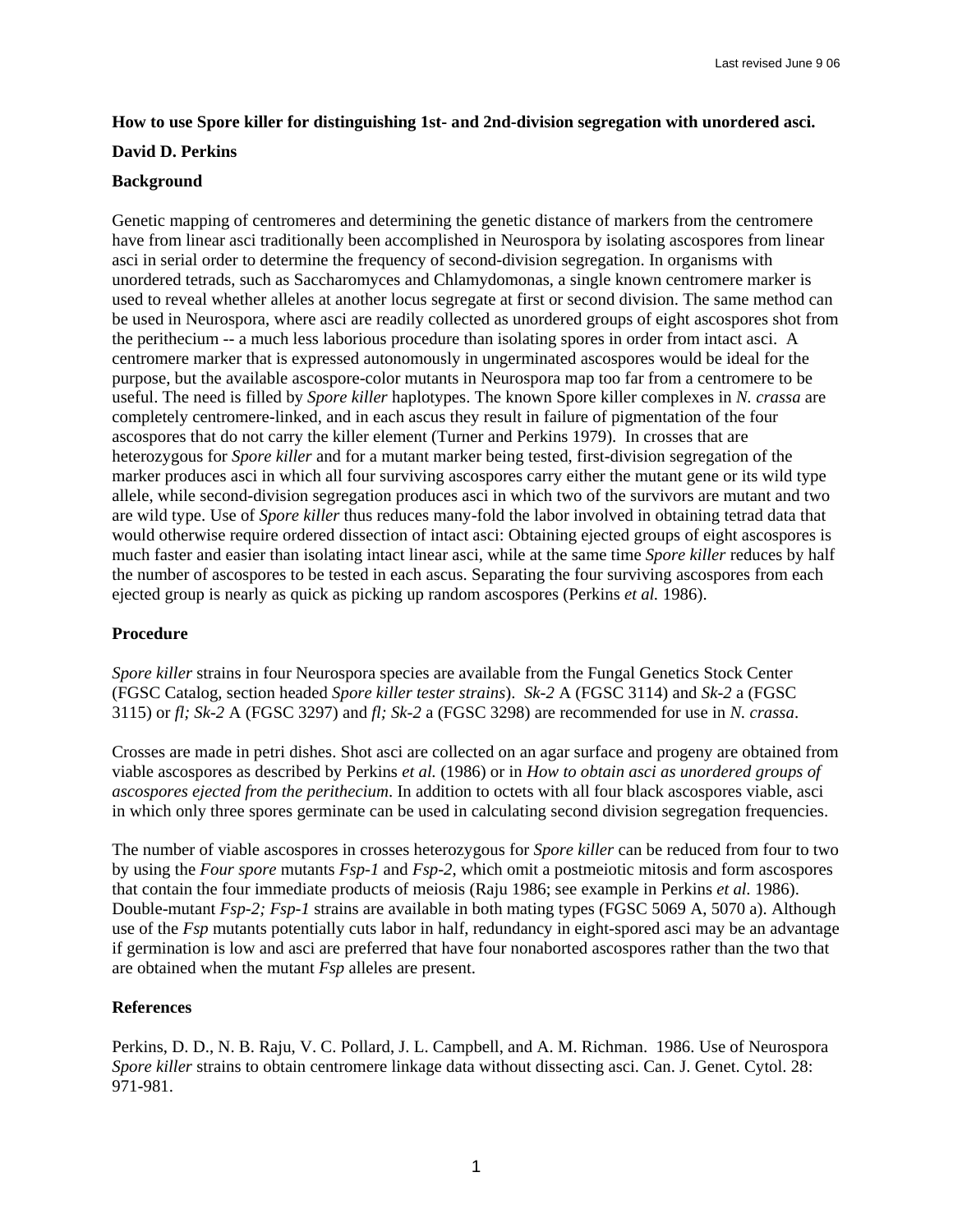# **How to use Spore killer for distinguishing 1st- and 2nd-division segregation with unordered asci.**

## **David D. Perkins**

### **Background**

Genetic mapping of centromeres and determining the genetic distance of markers from the centromere have from linear asci traditionally been accomplished in Neurospora by isolating ascospores from linear asci in serial order to determine the frequency of second-division segregation. In organisms with unordered tetrads, such as Saccharomyces and Chlamydomonas, a single known centromere marker is used to reveal whether alleles at another locus segregate at first or second division. The same method can be used in Neurospora, where asci are readily collected as unordered groups of eight ascospores shot from the perithecium -- a much less laborious procedure than isolating spores in order from intact asci. A centromere marker that is expressed autonomously in ungerminated ascospores would be ideal for the purpose, but the available ascospore-color mutants in Neurospora map too far from a centromere to be useful. The need is filled by *Spore killer* haplotypes. The known Spore killer complexes in *N. crassa* are completely centromere-linked, and in each ascus they result in failure of pigmentation of the four ascospores that do not carry the killer element (Turner and Perkins 1979). In crosses that are heterozygous for *Spore killer* and for a mutant marker being tested, first-division segregation of the marker produces asci in which all four surviving ascospores carry either the mutant gene or its wild type allele, while second-division segregation produces asci in which two of the survivors are mutant and two are wild type. Use of *Spore killer* thus reduces many-fold the labor involved in obtaining tetrad data that would otherwise require ordered dissection of intact asci: Obtaining ejected groups of eight ascospores is much faster and easier than isolating intact linear asci, while at the same time *Spore killer* reduces by half the number of ascospores to be tested in each ascus. Separating the four surviving ascospores from each ejected group is nearly as quick as picking up random ascospores (Perkins *et al.* 1986).

## **Procedure**

*Spore killer* strains in four Neurospora species are available from the Fungal Genetics Stock Center (FGSC Catalog, section headed *Spore killer tester strains*). *Sk-2* A (FGSC 3114) and *Sk-2* a (FGSC 3115) or *fl; Sk-2* A (FGSC 3297) and *fl; Sk-2* a (FGSC 3298) are recommended for use in *N. crassa*.

Crosses are made in petri dishes. Shot asci are collected on an agar surface and progeny are obtained from viable ascospores as described by Perkins *et al.* (1986) or in *How to obtain asci as unordered groups of ascospores ejected from the perithecium*. In addition to octets with all four black ascospores viable, asci in which only three spores germinate can be used in calculating second division segregation frequencies.

The number of viable ascospores in crosses heterozygous for *Spore killer* can be reduced from four to two by using the *Four spore* mutants *Fsp-1* and *Fsp-2*, which omit a postmeiotic mitosis and form ascospores that contain the four immediate products of meiosis (Raju 1986; see example in Perkins *et al.* 1986). Double-mutant *Fsp-2; Fsp-1* strains are available in both mating types (FGSC 5069 A, 5070 a). Although use of the *Fsp* mutants potentially cuts labor in half, redundancy in eight-spored asci may be an advantage if germination is low and asci are preferred that have four nonaborted ascospores rather than the two that are obtained when the mutant *Fsp* alleles are present.

#### **References**

Perkins, D. D., N. B. Raju, V. C. Pollard, J. L. Campbell, and A. M. Richman. 1986. Use of Neurospora *Spore killer* strains to obtain centromere linkage data without dissecting asci. Can. J. Genet. Cytol. 28: 971-981.